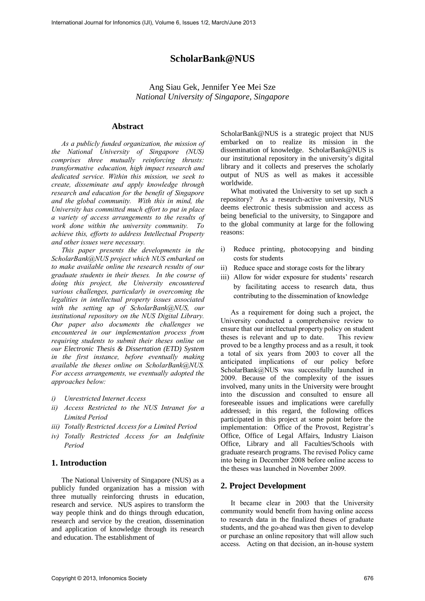# **ScholarBank@NUS**

Ang Siau Gek, Jennifer Yee Mei Sze *National University of Singapore, Singapore* 

### **Abstract**

*As a publicly funded organization, the mission of the National University of Singapore (NUS) comprises three mutually reinforcing thrusts: transformative education, high impact research and dedicated service. Within this mission, we seek to create, disseminate and apply knowledge through research and education for the benefit of Singapore and the global community. With this in mind, the University has committed much effort to put in place a variety of access arrangements to the results of work done within the university community. To achieve this, efforts to address Intellectual Property and other issues were necessary.* 

*This paper presents the developments in the ScholarBank@NUS project which NUS embarked on to make available online the research results of our graduate students in their theses. In the course of doing this project, the University encountered various challenges, particularly in overcoming the legalities in intellectual property issues associated with the setting up of ScholarBank@NUS, our institutional repository on the NUS Digital Library. Our paper also documents the challenges we encountered in our implementation process from requiring students to submit their theses online on our Electronic Thesis & Dissertation (ETD) System in the first instance, before eventually making available the theses online on ScholarBank@NUS. For access arrangements, we eventually adopted the approaches below:* 

- *i) Unrestricted Internet Access*
- *ii) Access Restricted to the NUS Intranet for a Limited Period*
- *iii) Totally Restricted Access for a Limited Period*
- *iv) Totally Restricted Access for an Indefinite Period*

#### **1. Introduction**

The National University of Singapore (NUS) as a publicly funded organization has a mission with three mutually reinforcing thrusts in education, research and service. NUS aspires to transform the way people think and do things through education, research and service by the creation, dissemination and application of knowledge through its research and education. The establishment of

ScholarBank@NUS is a strategic project that NUS embarked on to realize its mission in the dissemination of knowledge. ScholarBank@NUS is our institutional repository in the university's digital library and it collects and preserves the scholarly output of NUS as well as makes it accessible worldwide.

What motivated the University to set up such a repository? As a research-active university, NUS deems electronic thesis submission and access as being beneficial to the university, to Singapore and to the global community at large for the following reasons:

- i) Reduce printing, photocopying and binding costs for students
- ii) Reduce space and storage costs for the library
- iii) Allow for wider exposure for students' research by facilitating access to research data, thus contributing to the dissemination of knowledge

As a requirement for doing such a project, the University conducted a comprehensive review to ensure that our intellectual property policy on student theses is relevant and up to date. This review proved to be a lengthy process and as a result, it took a total of six years from 2003 to cover all the anticipated implications of our policy before ScholarBank@NUS was successfully launched in 2009. Because of the complexity of the issues involved, many units in the University were brought into the discussion and consulted to ensure all foreseeable issues and implications were carefully addressed; in this regard, the following offices participated in this project at some point before the implementation: Office of the Provost, Registrar's Office, Office of Legal Affairs, Industry Liaison Office, Library and all Faculties/Schools with graduate research programs. The revised Policy came into being in December 2008 before online access to the theses was launched in November 2009.

#### **2. Project Development**

It became clear in 2003 that the University community would benefit from having online access to research data in the finalized theses of graduate students, and the go-ahead was then given to develop or purchase an online repository that will allow such access. Acting on that decision, an in-house system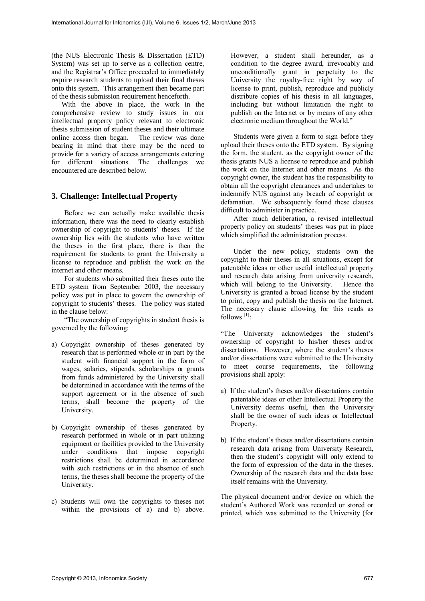(the NUS Electronic Thesis & Dissertation (ETD) System) was set up to serve as a collection centre, and the Registrar's Office proceeded to immediately require research students to upload their final theses onto this system. This arrangement then became part of the thesis submission requirement henceforth.

With the above in place, the work in the comprehensive review to study issues in our intellectual property policy relevant to electronic thesis submission of student theses and their ultimate online access then began. The review was done bearing in mind that there may be the need to provide for a variety of access arrangements catering for different situations. The challenges we encountered are described below.

### **3. Challenge: Intellectual Property**

Before we can actually make available thesis information, there was the need to clearly establish ownership of copyright to students' theses. If the ownership lies with the students who have written the theses in the first place, there is then the requirement for students to grant the University a license to reproduce and publish the work on the internet and other means.

For students who submitted their theses onto the ETD system from September 2003, the necessary policy was put in place to govern the ownership of copyright to students' theses. The policy was stated in the clause below:

"The ownership of copyrights in student thesis is governed by the following:

- a) Copyright ownership of theses generated by research that is performed whole or in part by the student with financial support in the form of wages, salaries, stipends, scholarships or grants from funds administered by the University shall be determined in accordance with the terms of the support agreement or in the absence of such terms, shall become the property of the University.
- b) Copyright ownership of theses generated by research performed in whole or in part utilizing equipment or facilities provided to the University under conditions that impose copyright restrictions shall be determined in accordance with such restrictions or in the absence of such terms, the theses shall become the property of the University.
- c) Students will own the copyrights to theses not within the provisions of a) and b) above.

However, a student shall hereunder, as a condition to the degree award, irrevocably and unconditionally grant in perpetuity to the University the royalty-free right by way of license to print, publish, reproduce and publicly distribute copies of his thesis in all languages, including but without limitation the right to publish on the Internet or by means of any other electronic medium throughout the World."

Students were given a form to sign before they upload their theses onto the ETD system. By signing the form, the student, as the copyright owner of the thesis grants NUS a license to reproduce and publish the work on the Internet and other means. As the copyright owner, the student has the responsibility to obtain all the copyright clearances and undertakes to indemnify NUS against any breach of copyright or defamation. We subsequently found these clauses difficult to administer in practice.

After much deliberation, a revised intellectual property policy on students' theses was put in place which simplified the administration process.

Under the new policy, students own the copyright to their theses in all situations, except for patentable ideas or other useful intellectual property and research data arising from university research, which will belong to the University. Hence the University is granted a broad license by the student to print, copy and publish the thesis on the Internet. The necessary clause allowing for this reads as follows<sup>[1]</sup>:

"The University acknowledges the student's ownership of copyright to his/her theses and/or dissertations. However, where the student's theses and/or dissertations were submitted to the University to meet course requirements, the following provisions shall apply:

- a) If the student's theses and/or dissertations contain patentable ideas or other Intellectual Property the University deems useful, then the University shall be the owner of such ideas or Intellectual Property.
- b) If the student's theses and/or dissertations contain research data arising from University Research, then the student's copyright will only extend to the form of expression of the data in the theses. Ownership of the research data and the data base itself remains with the University.

The physical document and/or device on which the student's Authored Work was recorded or stored or printed, which was submitted to the University (for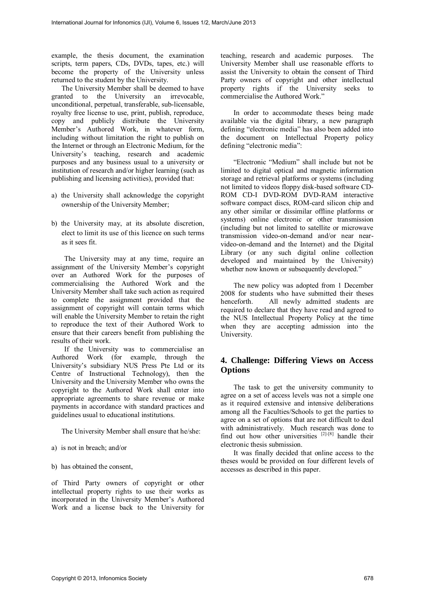example, the thesis document, the examination scripts, term papers, CDs, DVDs, tapes, etc.) will become the property of the University unless returned to the student by the University.

The University Member shall be deemed to have granted to the University an irrevocable, unconditional, perpetual, transferable, sub-licensable, royalty free license to use, print, publish, reproduce, copy and publicly distribute the University Member's Authored Work, in whatever form, including without limitation the right to publish on the Internet or through an Electronic Medium, for the University's teaching, research and academic purposes and any business usual to a university or institution of research and/or higher learning (such as publishing and licensing activities), provided that:

- a) the University shall acknowledge the copyright ownership of the University Member;
- b) the University may, at its absolute discretion, elect to limit its use of this licence on such terms as it sees fit.

The University may at any time, require an assignment of the University Member's copyright over an Authored Work for the purposes of commercialising the Authored Work and the University Member shall take such action as required to complete the assignment provided that the assignment of copyright will contain terms which will enable the University Member to retain the right to reproduce the text of their Authored Work to ensure that their careers benefit from publishing the results of their work.

If the University was to commercialise an Authored Work (for example, through the University's subsidiary NUS Press Pte Ltd or its Centre of Instructional Technology), then the University and the University Member who owns the copyright to the Authored Work shall enter into appropriate agreements to share revenue or make payments in accordance with standard practices and guidelines usual to educational institutions.

The University Member shall ensure that he/she:

- a) is not in breach; and/or
- b) has obtained the consent,

of Third Party owners of copyright or other intellectual property rights to use their works as incorporated in the University Member's Authored Work and a license back to the University for

teaching, research and academic purposes. The University Member shall use reasonable efforts to assist the University to obtain the consent of Third Party owners of copyright and other intellectual property rights if the University seeks to commercialise the Authored Work."

In order to accommodate theses being made available via the digital library, a new paragraph defining "electronic media" has also been added into the document on Intellectual Property policy defining "electronic media":

"Electronic "Medium" shall include but not be limited to digital optical and magnetic information storage and retrieval platforms or systems (including not limited to videos floppy disk-based software CD-ROM CD-I DVD-ROM DVD-RAM interactive software compact discs, ROM-card silicon chip and any other similar or dissimilar offline platforms or systems) online electronic or other transmission (including but not limited to satellite or microwave transmission video-on-demand and/or near nearvideo-on-demand and the Internet) and the Digital Library (or any such digital online collection developed and maintained by the University) whether now known or subsequently developed."

The new policy was adopted from 1 December 2008 for students who have submitted their theses henceforth. All newly admitted students are required to declare that they have read and agreed to the NUS Intellectual Property Policy at the time when they are accepting admission into the University.

# **4. Challenge: Differing Views on Access Options**

The task to get the university community to agree on a set of access levels was not a simple one as it required extensive and intensive deliberations among all the Faculties/Schools to get the parties to agree on a set of options that are not difficult to deal with administratively. Much research was done to find out how other universities  $[2]-[8]$  handle their electronic thesis submission.

It was finally decided that online access to the theses would be provided on four different levels of accesses as described in this paper.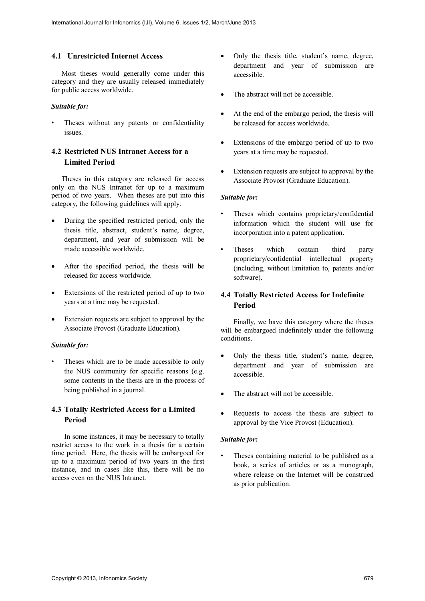### **4.1 Unrestricted Internet Access**

Most theses would generally come under this category and they are usually released immediately for public access worldwide.

#### *Suitable for:*

Theses without any patents or confidentiality issues.

# **4.2 Restricted NUS Intranet Access for a Limited Period**

Theses in this category are released for access only on the NUS Intranet for up to a maximum period of two years. When theses are put into this category, the following guidelines will apply.

- During the specified restricted period, only the thesis title, abstract, student's name, degree, department, and year of submission will be made accessible worldwide.
- After the specified period, the thesis will be released for access worldwide.
- Extensions of the restricted period of up to two years at a time may be requested.
- Extension requests are subject to approval by the Associate Provost (Graduate Education).

#### *Suitable for:*

Theses which are to be made accessible to only the NUS community for specific reasons (e.g. some contents in the thesis are in the process of being published in a journal.

# **4.3 Totally Restricted Access for a Limited Period**

In some instances, it may be necessary to totally restrict access to the work in a thesis for a certain time period. Here, the thesis will be embargoed for up to a maximum period of two years in the first instance, and in cases like this, there will be no access even on the NUS Intranet.

- Only the thesis title, student's name, degree, department and year of submission are accessible.
- The abstract will not be accessible.
- At the end of the embargo period, the thesis will be released for access worldwide.
- Extensions of the embargo period of up to two years at a time may be requested.
- Extension requests are subject to approval by the Associate Provost (Graduate Education).

#### *Suitable for:*

- Theses which contains proprietary/confidential information which the student will use for incorporation into a patent application.
- Theses which contain third party proprietary/confidential intellectual property (including, without limitation to, patents and/or software).

# **4.4 Totally Restricted Access for Indefinite Period**

Finally, we have this category where the theses will be embargoed indefinitely under the following conditions.

- Only the thesis title, student's name, degree, department and year of submission are accessible.
- The abstract will not be accessible.
- Requests to access the thesis are subject to approval by the Vice Provost (Education).

### *Suitable for:*

Theses containing material to be published as a book, a series of articles or as a monograph, where release on the Internet will be construed as prior publication.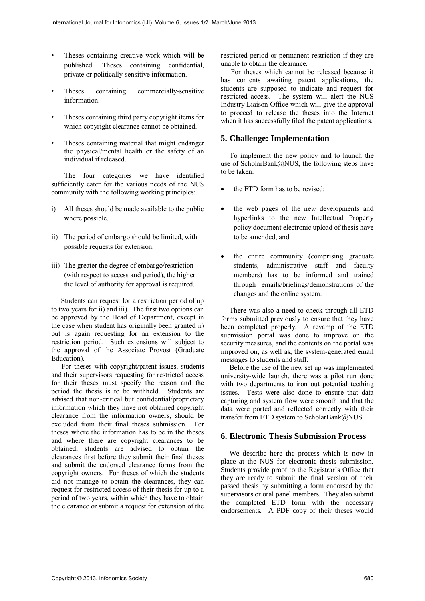- Theses containing creative work which will be published. Theses containing confidential, private or politically-sensitive information.
- Theses containing commercially-sensitive information.
- Theses containing third party copyright items for which copyright clearance cannot be obtained.
- Theses containing material that might endanger the physical/mental health or the safety of an individual if released.

The four categories we have identified sufficiently cater for the various needs of the NUS community with the following working principles:

- i) All theses should be made available to the public where possible.
- ii) The period of embargo should be limited, with possible requests for extension.
- iii) The greater the degree of embargo/restriction (with respect to access and period), the higher the level of authority for approval is required.

 Students can request for a restriction period of up to two years for ii) and iii). The first two options can be approved by the Head of Department, except in the case when student has originally been granted ii) but is again requesting for an extension to the restriction period. Such extensions will subject to the approval of the Associate Provost (Graduate Education).

For theses with copyright/patent issues, students and their supervisors requesting for restricted access for their theses must specify the reason and the period the thesis is to be withheld. Students are advised that non-critical but confidential/proprietary information which they have not obtained copyright clearance from the information owners, should be excluded from their final theses submission. For theses where the information has to be in the theses and where there are copyright clearances to be obtained, students are advised to obtain the clearances first before they submit their final theses and submit the endorsed clearance forms from the copyright owners. For theses of which the students did not manage to obtain the clearances, they can request for restricted access of their thesis for up to a period of two years, within which they have to obtain the clearance or submit a request for extension of the restricted period or permanent restriction if they are unable to obtain the clearance.

For theses which cannot be released because it has contents awaiting patent applications, the students are supposed to indicate and request for restricted access. The system will alert the NUS Industry Liaison Office which will give the approval to proceed to release the theses into the Internet when it has successfully filed the patent applications.

## **5. Challenge: Implementation**

To implement the new policy and to launch the use of ScholarBank@NUS, the following steps have to be taken:

- the ETD form has to be revised;
- the web pages of the new developments and hyperlinks to the new Intellectual Property policy document electronic upload of thesis have to be amended; and
- the entire community (comprising graduate students, administrative staff and faculty members) has to be informed and trained through emails/briefings/demonstrations of the changes and the online system.

There was also a need to check through all ETD forms submitted previously to ensure that they have been completed properly. A revamp of the ETD submission portal was done to improve on the security measures, and the contents on the portal was improved on, as well as, the system-generated email messages to students and staff.

Before the use of the new set up was implemented university-wide launch, there was a pilot run done with two departments to iron out potential teething issues. Tests were also done to ensure that data capturing and system flow were smooth and that the data were ported and reflected correctly with their transfer from ETD system to ScholarBank@NUS.

# **6. Electronic Thesis Submission Process**

We describe here the process which is now in place at the NUS for electronic thesis submission. Students provide proof to the Registrar's Office that they are ready to submit the final version of their passed thesis by submitting a form endorsed by the supervisors or oral panel members. They also submit the completed ETD form with the necessary endorsements. A PDF copy of their theses would